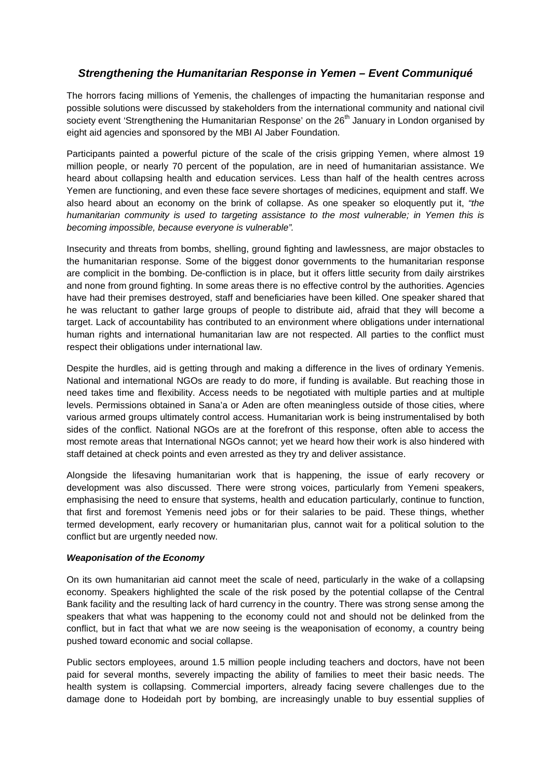## *Strengthening the Humanitarian Response in Yemen – Event Communiqué*

The horrors facing millions of Yemenis, the challenges of impacting the humanitarian response and possible solutions were discussed by stakeholders from the international community and national civil society event 'Strengthening the Humanitarian Response' on the 26<sup>th</sup> January in London organised by eight aid agencies and sponsored by the MBI Al Jaber Foundation.

Participants painted a powerful picture of the scale of the crisis gripping Yemen, where almost 19 million people, or nearly 70 percent of the population, are in need of humanitarian assistance. We heard about collapsing health and education services. Less than half of the health centres across Yemen are functioning, and even these face severe shortages of medicines, equipment and staff. We also heard about an economy on the brink of collapse. As one speaker so eloquently put it, *"the humanitarian community is used to targeting assistance to the most vulnerable; in Yemen this is becoming impossible, because everyone is vulnerable".* 

Insecurity and threats from bombs, shelling, ground fighting and lawlessness, are major obstacles to the humanitarian response. Some of the biggest donor governments to the humanitarian response are complicit in the bombing. De-confliction is in place, but it offers little security from daily airstrikes and none from ground fighting. In some areas there is no effective control by the authorities. Agencies have had their premises destroyed, staff and beneficiaries have been killed. One speaker shared that he was reluctant to gather large groups of people to distribute aid, afraid that they will become a target. Lack of accountability has contributed to an environment where obligations under international human rights and international humanitarian law are not respected. All parties to the conflict must respect their obligations under international law.

Despite the hurdles, aid is getting through and making a difference in the lives of ordinary Yemenis. National and international NGOs are ready to do more, if funding is available. But reaching those in need takes time and flexibility. Access needs to be negotiated with multiple parties and at multiple levels. Permissions obtained in Sana'a or Aden are often meaningless outside of those cities, where various armed groups ultimately control access. Humanitarian work is being instrumentalised by both sides of the conflict. National NGOs are at the forefront of this response, often able to access the most remote areas that International NGOs cannot; yet we heard how their work is also hindered with staff detained at check points and even arrested as they try and deliver assistance.

Alongside the lifesaving humanitarian work that is happening, the issue of early recovery or development was also discussed. There were strong voices, particularly from Yemeni speakers, emphasising the need to ensure that systems, health and education particularly, continue to function, that first and foremost Yemenis need jobs or for their salaries to be paid. These things, whether termed development, early recovery or humanitarian plus, cannot wait for a political solution to the conflict but are urgently needed now.

## *Weaponisation of the Economy*

On its own humanitarian aid cannot meet the scale of need, particularly in the wake of a collapsing economy. Speakers highlighted the scale of the risk posed by the potential collapse of the Central Bank facility and the resulting lack of hard currency in the country. There was strong sense among the speakers that what was happening to the economy could not and should not be delinked from the conflict, but in fact that what we are now seeing is the weaponisation of economy, a country being pushed toward economic and social collapse.

Public sectors employees, around 1.5 million people including teachers and doctors, have not been paid for several months, severely impacting the ability of families to meet their basic needs. The health system is collapsing. Commercial importers, already facing severe challenges due to the damage done to Hodeidah port by bombing, are increasingly unable to buy essential supplies of